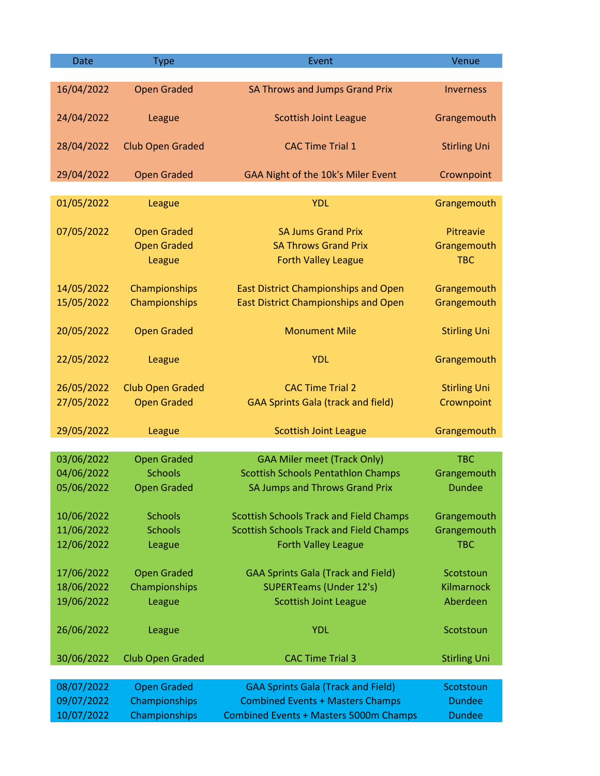| <b>Date</b> | <b>Type</b>             | Event                                          | Venue               |
|-------------|-------------------------|------------------------------------------------|---------------------|
|             |                         |                                                |                     |
| 16/04/2022  | <b>Open Graded</b>      | <b>SA Throws and Jumps Grand Prix</b>          | <b>Inverness</b>    |
| 24/04/2022  | League                  | <b>Scottish Joint League</b>                   | Grangemouth         |
|             |                         |                                                |                     |
| 28/04/2022  | <b>Club Open Graded</b> | <b>CAC Time Trial 1</b>                        | <b>Stirling Uni</b> |
| 29/04/2022  | <b>Open Graded</b>      | GAA Night of the 10k's Miler Event             | Crownpoint          |
|             |                         |                                                |                     |
| 01/05/2022  | League                  | <b>YDL</b>                                     | Grangemouth         |
| 07/05/2022  | <b>Open Graded</b>      | <b>SA Jums Grand Prix</b>                      | Pitreavie           |
|             | <b>Open Graded</b>      | <b>SA Throws Grand Prix</b>                    | Grangemouth         |
|             | League                  | <b>Forth Valley League</b>                     | <b>TBC</b>          |
|             |                         |                                                |                     |
| 14/05/2022  | Championships           | <b>East District Championships and Open</b>    | Grangemouth         |
| 15/05/2022  | Championships           | <b>East District Championships and Open</b>    | Grangemouth         |
|             |                         |                                                |                     |
| 20/05/2022  | <b>Open Graded</b>      | <b>Monument Mile</b>                           | <b>Stirling Uni</b> |
|             |                         |                                                |                     |
| 22/05/2022  | League                  | <b>YDL</b>                                     | Grangemouth         |
| 26/05/2022  | <b>Club Open Graded</b> | <b>CAC Time Trial 2</b>                        | <b>Stirling Uni</b> |
| 27/05/2022  | <b>Open Graded</b>      | <b>GAA Sprints Gala (track and field)</b>      | Crownpoint          |
|             |                         |                                                |                     |
| 29/05/2022  | League                  | <b>Scottish Joint League</b>                   | Grangemouth         |
|             |                         |                                                |                     |
| 03/06/2022  | <b>Open Graded</b>      | <b>GAA Miler meet (Track Only)</b>             | <b>TBC</b>          |
| 04/06/2022  | <b>Schools</b>          | <b>Scottish Schools Pentathlon Champs</b>      | Grangemouth         |
| 05/06/2022  | <b>Open Graded</b>      | <b>SA Jumps and Throws Grand Prix</b>          | <b>Dundee</b>       |
| 10/06/2022  | <b>Schools</b>          | <b>Scottish Schools Track and Field Champs</b> | Grangemouth         |
| 11/06/2022  | <b>Schools</b>          | <b>Scottish Schools Track and Field Champs</b> | Grangemouth         |
| 12/06/2022  | League                  | <b>Forth Valley League</b>                     | <b>TBC</b>          |
|             |                         |                                                |                     |
| 17/06/2022  | <b>Open Graded</b>      | <b>GAA Sprints Gala (Track and Field)</b>      | Scotstoun           |
| 18/06/2022  | Championships           | <b>SUPERTeams (Under 12's)</b>                 | Kilmarnock          |
| 19/06/2022  | League                  | <b>Scottish Joint League</b>                   | Aberdeen            |
| 26/06/2022  | League                  | <b>YDL</b>                                     | Scotstoun           |
|             |                         |                                                |                     |
| 30/06/2022  | <b>Club Open Graded</b> | <b>CAC Time Trial 3</b>                        | <b>Stirling Uni</b> |
|             |                         |                                                |                     |
| 08/07/2022  | <b>Open Graded</b>      | <b>GAA Sprints Gala (Track and Field)</b>      | Scotstoun           |
| 09/07/2022  | Championships           | <b>Combined Events + Masters Champs</b>        | <b>Dundee</b>       |
| 10/07/2022  | Championships           | <b>Combined Events + Masters 5000m Champs</b>  | <b>Dundee</b>       |